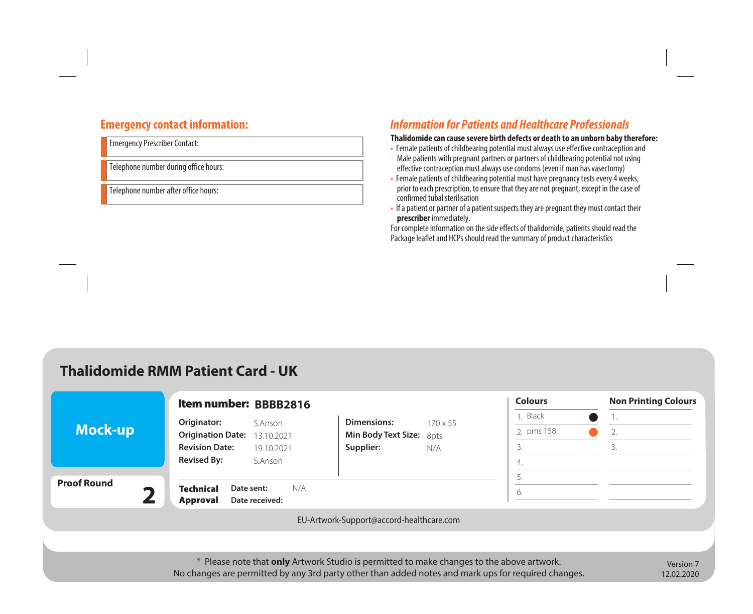## **Emergency contact information:**

Emergency Prescriber Contact:

Telephone number during office hours:

Telephone number after office hours:

# *Information for Patients and Healthcare Professionals*

#### **Thalidomide can cause severe birth defects or death to an unborn baby therefore:**

- Female patients of childbearing potential must always use effective contraception and Male patients with pregnant partners or partners of childbearing potential not using effective contraception must always use condoms (even if man has vasectomy)
- Female patients of childbearing potential must have pregnancy tests every 4 weeks, prior to each prescription, to ensure that they are not pregnant, except in the case of confirmed tubal sterilisation
- If a patient or partner of a patient suspects they are pregnant they must contact their **prescriber** immediately.

For complete information on the side effects of thalidomide, patients should read the Package leaflet and HCPs should read the summary of product characteristics